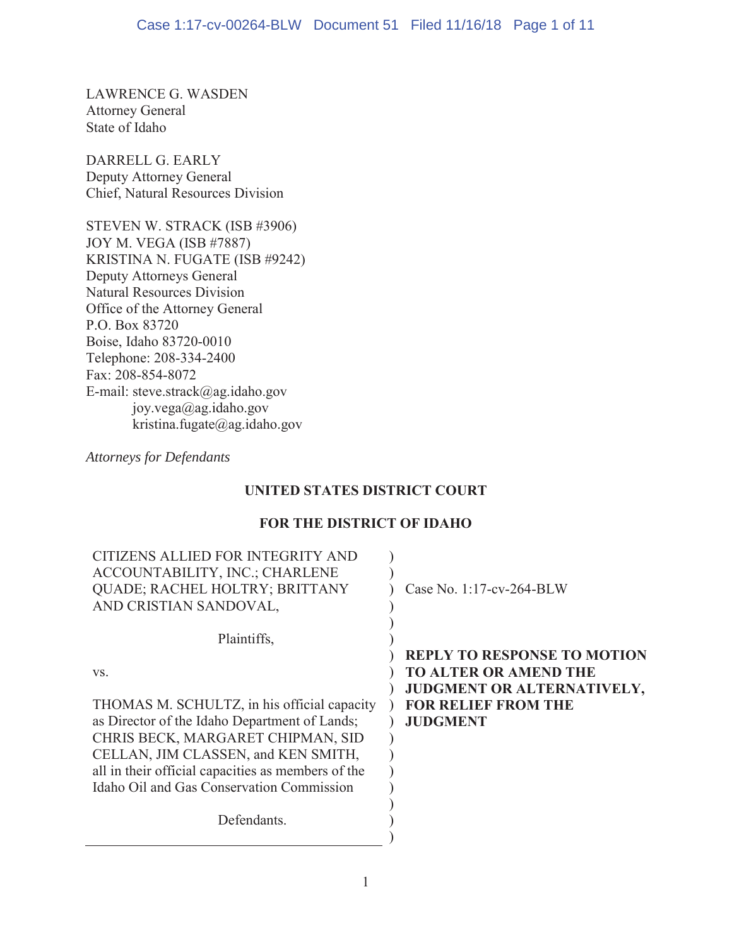LAWRENCE G. WASDEN Attorney General State of Idaho

DARRELL G. EARLY Deputy Attorney General Chief, Natural Resources Division

STEVEN W. STRACK (ISB #3906) JOY M. VEGA (ISB #7887) KRISTINA N. FUGATE (ISB #9242) Deputy Attorneys General Natural Resources Division Office of the Attorney General P.O. Box 83720 Boise, Idaho 83720-0010 Telephone: 208-334-2400 Fax: 208-854-8072 E-mail: steve.strack@ag.idaho.gov joy.vega@ag.idaho.gov kristina.fugate@ag.idaho.gov

*Attorneys for Defendants*

# **UNITED STATES DISTRICT COURT**

# **FOR THE DISTRICT OF IDAHO**

| CITIZENS ALLIED FOR INTEGRITY AND<br>ACCOUNTABILITY, INC.; CHARLENE<br><b>QUADE; RACHEL HOLTRY; BRITTANY</b><br>AND CRISTIAN SANDOVAL, | Case No. 1:17-cv-264-BLW                                                                                                                          |
|----------------------------------------------------------------------------------------------------------------------------------------|---------------------------------------------------------------------------------------------------------------------------------------------------|
| Plaintiffs,                                                                                                                            |                                                                                                                                                   |
| VS.<br>THOMAS M. SCHULTZ, in his official capacity<br>as Director of the Idaho Department of Lands;                                    | <b>REPLY TO RESPONSE TO MOTION</b><br><b>TO ALTER OR AMEND THE</b><br>JUDGMENT OR ALTERNATIVELY,<br><b>FOR RELIEF FROM THE</b><br><b>JUDGMENT</b> |
| CHRIS BECK, MARGARET CHIPMAN, SID                                                                                                      |                                                                                                                                                   |
| CELLAN, JIM CLASSEN, and KEN SMITH,                                                                                                    |                                                                                                                                                   |
| all in their official capacities as members of the                                                                                     |                                                                                                                                                   |
| Idaho Oil and Gas Conservation Commission                                                                                              |                                                                                                                                                   |
| Defendants.                                                                                                                            |                                                                                                                                                   |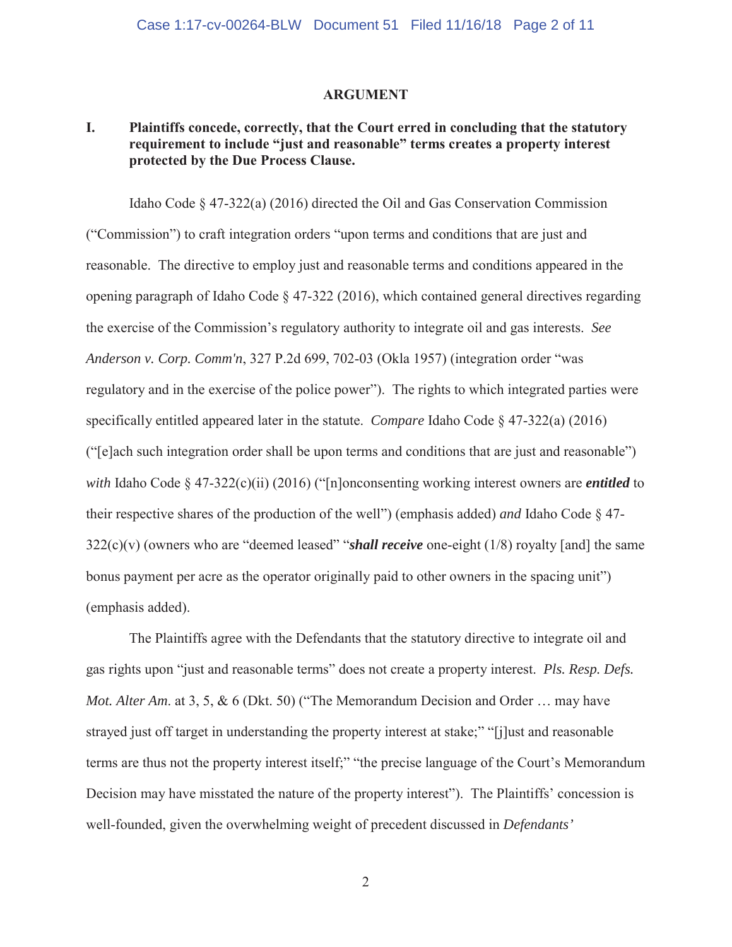### **ARGUMENT**

## **I. Plaintiffs concede, correctly, that the Court erred in concluding that the statutory requirement to include "just and reasonable" terms creates a property interest protected by the Due Process Clause.**

Idaho Code § 47-322(a) (2016) directed the Oil and Gas Conservation Commission ("Commission") to craft integration orders "upon terms and conditions that are just and reasonable. The directive to employ just and reasonable terms and conditions appeared in the opening paragraph of Idaho Code § 47-322 (2016), which contained general directives regarding the exercise of the Commission's regulatory authority to integrate oil and gas interests. *See Anderson v. Corp. Comm'n*, 327 P.2d 699, 702-03 (Okla 1957) (integration order "was regulatory and in the exercise of the police power"). The rights to which integrated parties were specifically entitled appeared later in the statute. *Compare* Idaho Code § 47-322(a) (2016) ("[e]ach such integration order shall be upon terms and conditions that are just and reasonable") *with* Idaho Code § 47-322(c)(ii) (2016) ("[n]onconsenting working interest owners are *entitled* to their respective shares of the production of the well") (emphasis added) *and* Idaho Code § 47-  $322(c)(v)$  (owners who are "deemed leased" "*shall receive* one-eight (1/8) royalty [and] the same bonus payment per acre as the operator originally paid to other owners in the spacing unit") (emphasis added).

The Plaintiffs agree with the Defendants that the statutory directive to integrate oil and gas rights upon "just and reasonable terms" does not create a property interest. *Pls. Resp. Defs. Mot. Alter Am.* at 3, 5, & 6 (Dkt. 50) ("The Memorandum Decision and Order ... may have strayed just off target in understanding the property interest at stake;" "[j]ust and reasonable terms are thus not the property interest itself;" "the precise language of the Court's Memorandum Decision may have misstated the nature of the property interest"). The Plaintiffs' concession is well-founded, given the overwhelming weight of precedent discussed in *Defendants'* 

2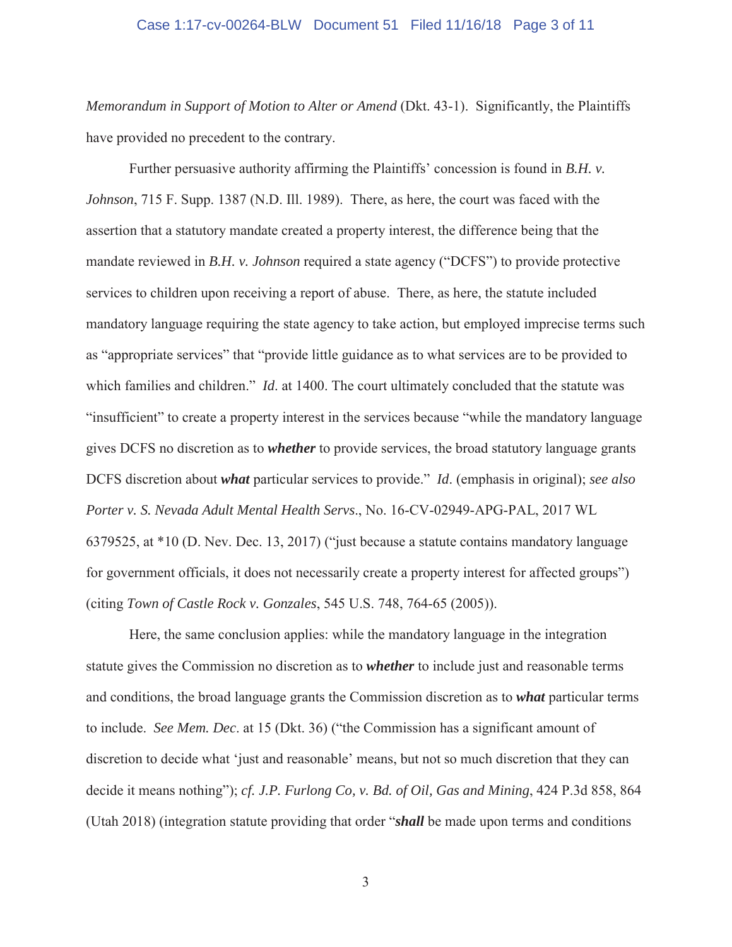#### Case 1:17-cv-00264-BLW Document 51 Filed 11/16/18 Page 3 of 11

*Memorandum in Support of Motion to Alter or Amend* (Dkt. 43-1). Significantly, the Plaintiffs have provided no precedent to the contrary.

Further persuasive authority affirming the Plaintiffs' concession is found in *B.H. v. Johnson*, 715 F. Supp. 1387 (N.D. Ill. 1989). There, as here, the court was faced with the assertion that a statutory mandate created a property interest, the difference being that the mandate reviewed in *B.H. v. Johnson* required a state agency ("DCFS") to provide protective services to children upon receiving a report of abuse. There, as here, the statute included mandatory language requiring the state agency to take action, but employed imprecise terms such as "appropriate services" that "provide little guidance as to what services are to be provided to which families and children." *Id*. at 1400. The court ultimately concluded that the statute was "insufficient" to create a property interest in the services because "while the mandatory language gives DCFS no discretion as to *whether* to provide services, the broad statutory language grants DCFS discretion about *what* particular services to provide." *Id*. (emphasis in original); *see also Porter v. S. Nevada Adult Mental Health Servs*., No. 16-CV-02949-APG-PAL, 2017 WL 6379525, at \*10 (D. Nev. Dec. 13, 2017) ("just because a statute contains mandatory language for government officials, it does not necessarily create a property interest for affected groups") (citing *Town of Castle Rock v. Gonzales*, 545 U.S. 748, 764-65 (2005)).

Here, the same conclusion applies: while the mandatory language in the integration statute gives the Commission no discretion as to *whether* to include just and reasonable terms and conditions, the broad language grants the Commission discretion as to *what* particular terms to include. *See Mem. Dec*. at 15 (Dkt. 36) ("the Commission has a significant amount of discretion to decide what 'just and reasonable' means, but not so much discretion that they can decide it means nothing"); *cf. J.P. Furlong Co, v. Bd. of Oil, Gas and Mining*, 424 P.3d 858, 864 (Utah 2018) (integration statute providing that order "*shall* be made upon terms and conditions

3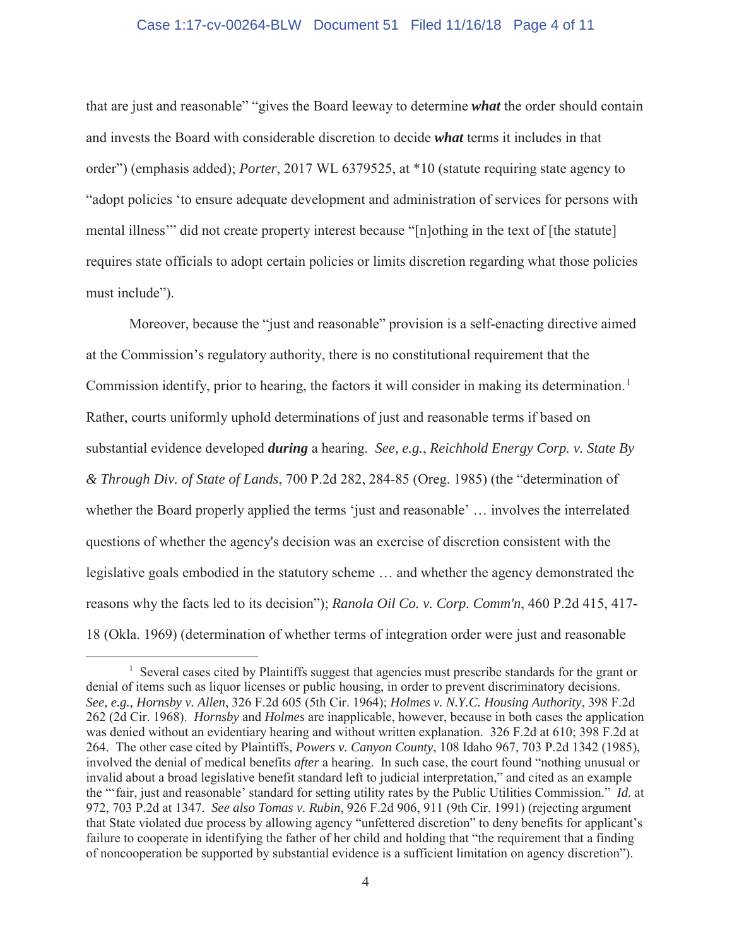### Case 1:17-cv-00264-BLW Document 51 Filed 11/16/18 Page 4 of 11

that are just and reasonable" "gives the Board leeway to determine *what* the order should contain and invests the Board with considerable discretion to decide *what* terms it includes in that order") (emphasis added); *Porter*, 2017 WL 6379525, at \*10 (statute requiring state agency to "adopt policies 'to ensure adequate development and administration of services for persons with mental illness'" did not create property interest because "[n]othing in the text of [the statute] requires state officials to adopt certain policies or limits discretion regarding what those policies must include").

Moreover, because the "just and reasonable" provision is a self-enacting directive aimed at the Commission's regulatory authority, there is no constitutional requirement that the Commission identify, prior to hearing, the factors it will consider in making its determination.<sup>1</sup> Rather, courts uniformly uphold determinations of just and reasonable terms if based on substantial evidence developed *during* a hearing. *See, e.g.*, *Reichhold Energy Corp. v. State By & Through Div. of State of Lands*, 700 P.2d 282, 284-85 (Oreg. 1985) (the "determination of whether the Board properly applied the terms 'just and reasonable' ... involves the interrelated questions of whether the agency's decision was an exercise of discretion consistent with the legislative goals embodied in the statutory scheme … and whether the agency demonstrated the reasons why the facts led to its decision"); *Ranola Oil Co. v. Corp. Comm'n*, 460 P.2d 415, 417- 18 (Okla. 1969) (determination of whether terms of integration order were just and reasonable

<sup>&</sup>lt;sup>1</sup> Several cases cited by Plaintiffs suggest that agencies must prescribe standards for the grant or denial of items such as liquor licenses or public housing, in order to prevent discriminatory decisions. *See, e.g., Hornsby v. Allen*, 326 F.2d 605 (5th Cir. 1964); *Holmes v. N.Y.C. Housing Authority*, 398 F.2d 262 (2d Cir. 1968). *Hornsby* and *Holmes* are inapplicable, however, because in both cases the application was denied without an evidentiary hearing and without written explanation. 326 F.2d at 610; 398 F.2d at 264. The other case cited by Plaintiffs, *Powers v. Canyon County*, 108 Idaho 967, 703 P.2d 1342 (1985), involved the denial of medical benefits *after* a hearing. In such case, the court found "nothing unusual or invalid about a broad legislative benefit standard left to judicial interpretation," and cited as an example the "'fair, just and reasonable' standard for setting utility rates by the Public Utilities Commission." *Id*. at 972, 703 P.2d at 1347. *See also Tomas v. Rubin*, 926 F.2d 906, 911 (9th Cir. 1991) (rejecting argument that State violated due process by allowing agency "unfettered discretion" to deny benefits for applicant's failure to cooperate in identifying the father of her child and holding that "the requirement that a finding of noncooperation be supported by substantial evidence is a sufficient limitation on agency discretion").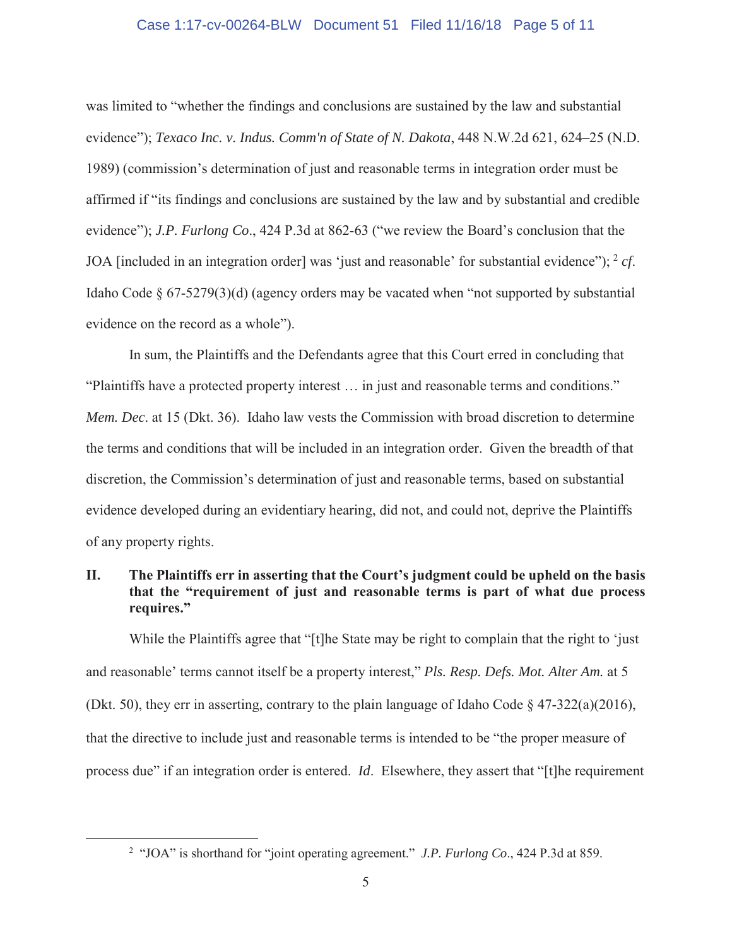### Case 1:17-cv-00264-BLW Document 51 Filed 11/16/18 Page 5 of 11

was limited to "whether the findings and conclusions are sustained by the law and substantial evidence"); *Texaco Inc. v. Indus. Comm'n of State of N. Dakota*, 448 N.W.2d 621, 624–25 (N.D. 1989) (commission's determination of just and reasonable terms in integration order must be affirmed if "its findings and conclusions are sustained by the law and by substantial and credible evidence"); *J.P. Furlong Co*., 424 P.3d at 862-63 ("we review the Board's conclusion that the JOA [included in an integration order] was 'just and reasonable' for substantial evidence"); <sup>2</sup> *cf*. Idaho Code  $\S 67-5279(3)(d)$  (agency orders may be vacated when "not supported by substantial evidence on the record as a whole").

In sum, the Plaintiffs and the Defendants agree that this Court erred in concluding that "Plaintiffs have a protected property interest … in just and reasonable terms and conditions." *Mem. Dec*. at 15 (Dkt. 36). Idaho law vests the Commission with broad discretion to determine the terms and conditions that will be included in an integration order. Given the breadth of that discretion, the Commission's determination of just and reasonable terms, based on substantial evidence developed during an evidentiary hearing, did not, and could not, deprive the Plaintiffs of any property rights.

## **II. The Plaintiffs err in asserting that the Court's judgment could be upheld on the basis that the "requirement of just and reasonable terms is part of what due process requires."**

While the Plaintiffs agree that "[t]he State may be right to complain that the right to 'just and reasonable' terms cannot itself be a property interest," *Pls. Resp. Defs. Mot. Alter Am.* at 5 (Dkt. 50), they err in asserting, contrary to the plain language of Idaho Code  $\S$  47-322(a)(2016), that the directive to include just and reasonable terms is intended to be "the proper measure of process due" if an integration order is entered. *Id*. Elsewhere, they assert that "[t]he requirement

<sup>2</sup> "JOA" is shorthand for "joint operating agreement." *J.P. Furlong Co*., 424 P.3d at 859.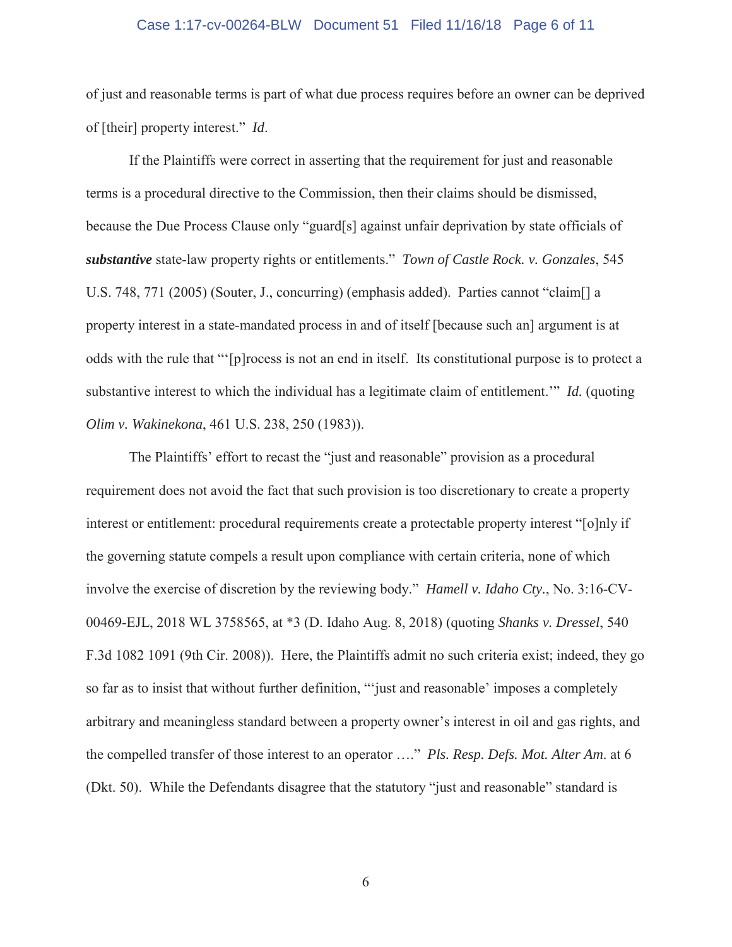### Case 1:17-cv-00264-BLW Document 51 Filed 11/16/18 Page 6 of 11

of just and reasonable terms is part of what due process requires before an owner can be deprived of [their] property interest." *Id*.

If the Plaintiffs were correct in asserting that the requirement for just and reasonable terms is a procedural directive to the Commission, then their claims should be dismissed, because the Due Process Clause only "guard[s] against unfair deprivation by state officials of *substantive* state-law property rights or entitlements." *Town of Castle Rock. v. Gonzales*, 545 U.S. 748, 771 (2005) (Souter, J., concurring) (emphasis added). Parties cannot "claim[] a property interest in a state-mandated process in and of itself [because such an] argument is at odds with the rule that "'[p]rocess is not an end in itself. Its constitutional purpose is to protect a substantive interest to which the individual has a legitimate claim of entitlement.'" *Id.* (quoting *Olim v. Wakinekona*, 461 U.S. 238, 250 (1983)).

The Plaintiffs' effort to recast the "just and reasonable" provision as a procedural requirement does not avoid the fact that such provision is too discretionary to create a property interest or entitlement: procedural requirements create a protectable property interest "[o]nly if the governing statute compels a result upon compliance with certain criteria, none of which involve the exercise of discretion by the reviewing body." *Hamell v. Idaho Cty.*, No. 3:16-CV-00469-EJL, 2018 WL 3758565, at \*3 (D. Idaho Aug. 8, 2018) (quoting *Shanks v. Dressel*, 540 F.3d 1082 1091 (9th Cir. 2008)). Here, the Plaintiffs admit no such criteria exist; indeed, they go so far as to insist that without further definition, "'just and reasonable' imposes a completely arbitrary and meaningless standard between a property owner's interest in oil and gas rights, and the compelled transfer of those interest to an operator …." *Pls. Resp. Defs. Mot. Alter Am*. at 6 (Dkt. 50). While the Defendants disagree that the statutory "just and reasonable" standard is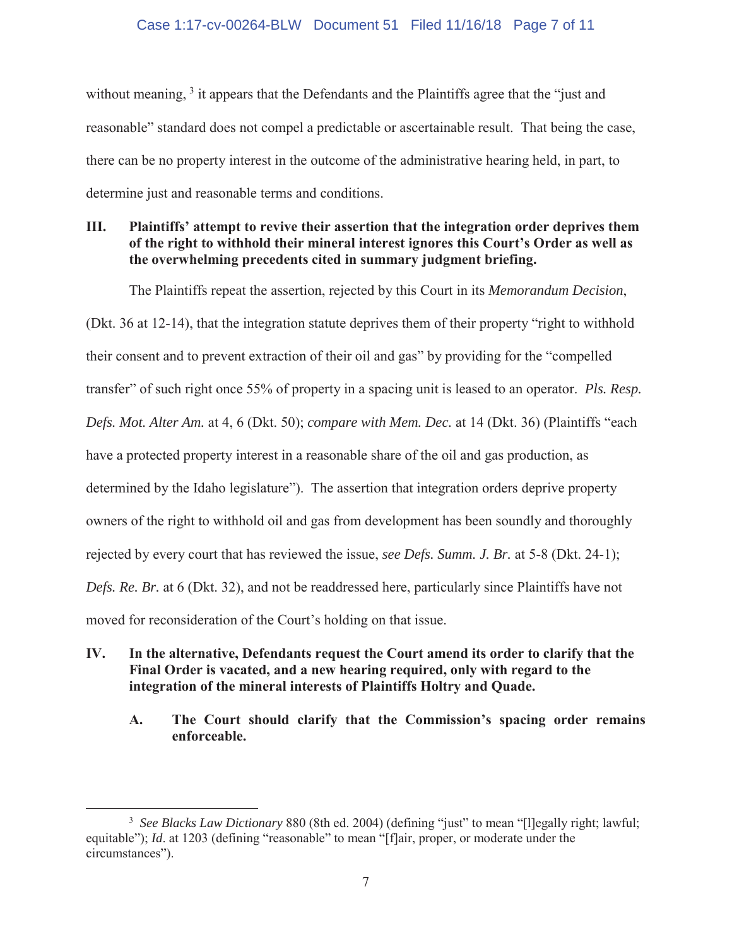### Case 1:17-cv-00264-BLW Document 51 Filed 11/16/18 Page 7 of 11

without meaning, <sup>3</sup> it appears that the Defendants and the Plaintiffs agree that the "just and reasonable" standard does not compel a predictable or ascertainable result. That being the case, there can be no property interest in the outcome of the administrative hearing held, in part, to determine just and reasonable terms and conditions.

# **III. Plaintiffs' attempt to revive their assertion that the integration order deprives them of the right to withhold their mineral interest ignores this Court's Order as well as the overwhelming precedents cited in summary judgment briefing.**

The Plaintiffs repeat the assertion, rejected by this Court in its *Memorandum Decision*,

(Dkt. 36 at 12-14), that the integration statute deprives them of their property "right to withhold their consent and to prevent extraction of their oil and gas" by providing for the "compelled transfer" of such right once 55% of property in a spacing unit is leased to an operator. *Pls. Resp. Defs. Mot. Alter Am.* at 4, 6 (Dkt. 50); *compare with Mem. Dec.* at 14 (Dkt. 36) (Plaintiffs "each have a protected property interest in a reasonable share of the oil and gas production, as determined by the Idaho legislature"). The assertion that integration orders deprive property owners of the right to withhold oil and gas from development has been soundly and thoroughly rejected by every court that has reviewed the issue, *see Defs. Summ. J. Br.* at 5-8 (Dkt. 24-1); *Defs. Re. Br.* at 6 (Dkt. 32), and not be readdressed here, particularly since Plaintiffs have not moved for reconsideration of the Court's holding on that issue.

## **IV. In the alternative, Defendants request the Court amend its order to clarify that the Final Order is vacated, and a new hearing required, only with regard to the integration of the mineral interests of Plaintiffs Holtry and Quade.**

**A. The Court should clarify that the Commission's spacing order remains enforceable.**

<sup>&</sup>lt;sup>3</sup> See Blacks Law Dictionary 880 (8th ed. 2004) (defining "just" to mean "[l]egally right; lawful; equitable"); *Id.* at 1203 (defining "reasonable" to mean "[f]air, proper, or moderate under the circumstances").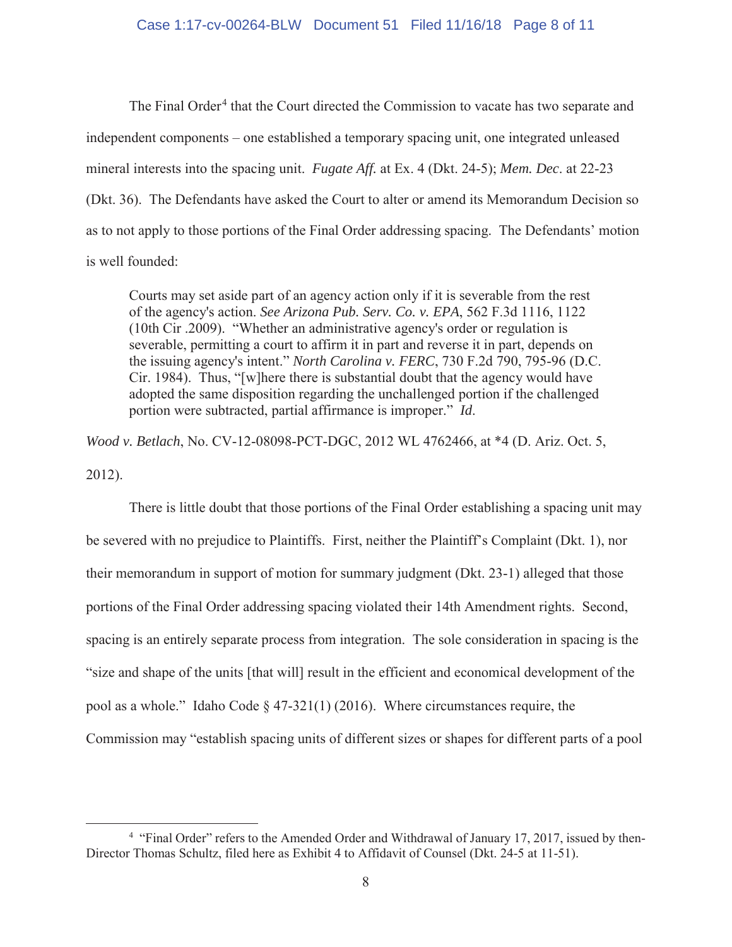### Case 1:17-cv-00264-BLW Document 51 Filed 11/16/18 Page 8 of 11

The Final Order<sup>4</sup> that the Court directed the Commission to vacate has two separate and independent components – one established a temporary spacing unit, one integrated unleased mineral interests into the spacing unit. *Fugate Aff.* at Ex. 4 (Dkt. 24-5); *Mem. Dec*. at 22-23 (Dkt. 36). The Defendants have asked the Court to alter or amend its Memorandum Decision so as to not apply to those portions of the Final Order addressing spacing. The Defendants' motion is well founded:

Courts may set aside part of an agency action only if it is severable from the rest of the agency's action. *See Arizona Pub. Serv. Co. v. EPA*, 562 F.3d 1116, 1122 (10th Cir .2009). "Whether an administrative agency's order or regulation is severable, permitting a court to affirm it in part and reverse it in part, depends on the issuing agency's intent." *North Carolina v. FERC*, 730 F.2d 790, 795-96 (D.C. Cir. 1984). Thus, "[w]here there is substantial doubt that the agency would have adopted the same disposition regarding the unchallenged portion if the challenged portion were subtracted, partial affirmance is improper." *Id*.

*Wood v. Betlach*, No. CV-12-08098-PCT-DGC, 2012 WL 4762466, at \*4 (D. Ariz. Oct. 5, 2012).

There is little doubt that those portions of the Final Order establishing a spacing unit may be severed with no prejudice to Plaintiffs. First, neither the Plaintiff's Complaint (Dkt. 1), nor their memorandum in support of motion for summary judgment (Dkt. 23-1) alleged that those portions of the Final Order addressing spacing violated their 14th Amendment rights. Second, spacing is an entirely separate process from integration. The sole consideration in spacing is the "size and shape of the units [that will] result in the efficient and economical development of the pool as a whole." Idaho Code § 47-321(1) (2016). Where circumstances require, the Commission may "establish spacing units of different sizes or shapes for different parts of a pool

<sup>&</sup>lt;sup>4</sup> "Final Order" refers to the Amended Order and Withdrawal of January 17, 2017, issued by then-Director Thomas Schultz, filed here as Exhibit 4 to Affidavit of Counsel (Dkt. 24-5 at 11-51).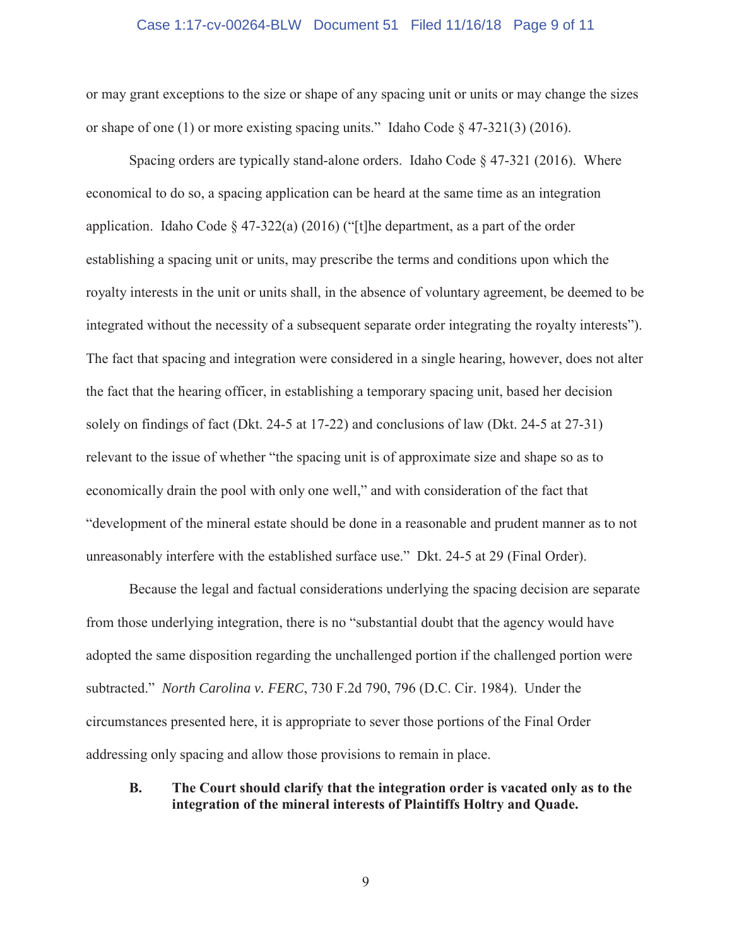### Case 1:17-cv-00264-BLW Document 51 Filed 11/16/18 Page 9 of 11

or may grant exceptions to the size or shape of any spacing unit or units or may change the sizes or shape of one (1) or more existing spacing units." Idaho Code § 47-321(3) (2016).

Spacing orders are typically stand-alone orders. Idaho Code  $\S$  47-321 (2016). Where economical to do so, a spacing application can be heard at the same time as an integration application. Idaho Code § 47-322(a) (2016) ("[t]he department, as a part of the order establishing a spacing unit or units, may prescribe the terms and conditions upon which the royalty interests in the unit or units shall, in the absence of voluntary agreement, be deemed to be integrated without the necessity of a subsequent separate order integrating the royalty interests"). The fact that spacing and integration were considered in a single hearing, however, does not alter the fact that the hearing officer, in establishing a temporary spacing unit, based her decision solely on findings of fact (Dkt. 24-5 at 17-22) and conclusions of law (Dkt. 24-5 at 27-31) relevant to the issue of whether "the spacing unit is of approximate size and shape so as to economically drain the pool with only one well," and with consideration of the fact that "development of the mineral estate should be done in a reasonable and prudent manner as to not unreasonably interfere with the established surface use." Dkt. 24-5 at 29 (Final Order).

Because the legal and factual considerations underlying the spacing decision are separate from those underlying integration, there is no "substantial doubt that the agency would have adopted the same disposition regarding the unchallenged portion if the challenged portion were subtracted." *North Carolina v. FERC*, 730 F.2d 790, 796 (D.C. Cir. 1984). Under the circumstances presented here, it is appropriate to sever those portions of the Final Order addressing only spacing and allow those provisions to remain in place.

### **B. The Court should clarify that the integration order is vacated only as to the integration of the mineral interests of Plaintiffs Holtry and Quade.**

9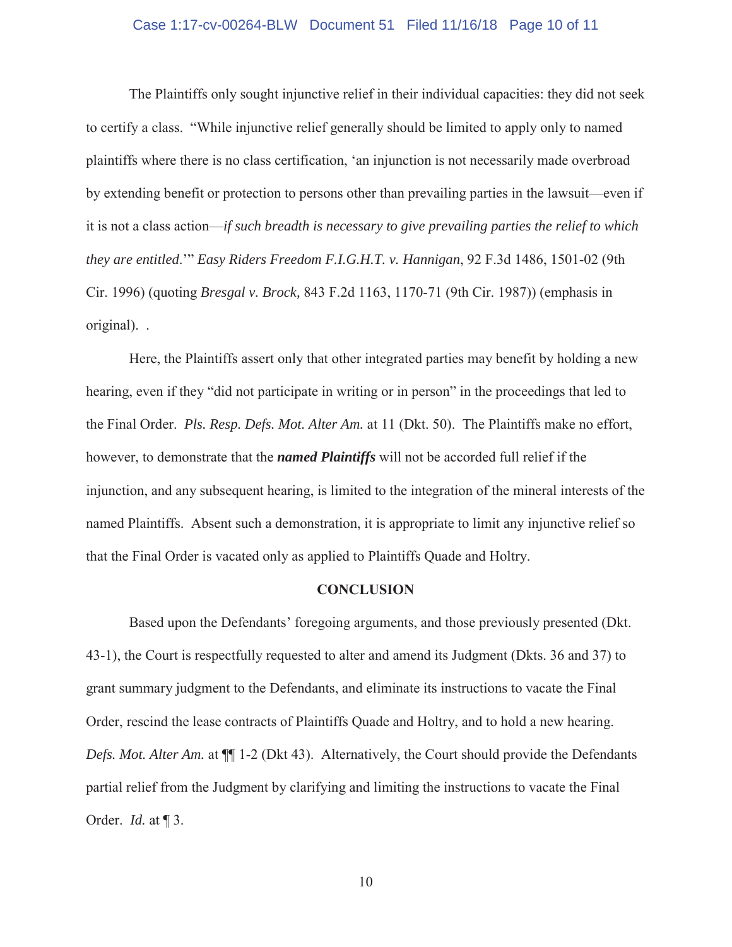### Case 1:17-cv-00264-BLW Document 51 Filed 11/16/18 Page 10 of 11

The Plaintiffs only sought injunctive relief in their individual capacities: they did not seek to certify a class. "While injunctive relief generally should be limited to apply only to named plaintiffs where there is no class certification, 'an injunction is not necessarily made overbroad by extending benefit or protection to persons other than prevailing parties in the lawsuit—even if it is not a class action—*if such breadth is necessary to give prevailing parties the relief to which they are entitled*.'" *Easy Riders Freedom F.I.G.H.T. v. Hannigan*, 92 F.3d 1486, 1501-02 (9th Cir. 1996) (quoting *Bresgal v. Brock,* 843 F.2d 1163, 1170-71 (9th Cir. 1987)) (emphasis in original). .

Here, the Plaintiffs assert only that other integrated parties may benefit by holding a new hearing, even if they "did not participate in writing or in person" in the proceedings that led to the Final Order. *Pls. Resp. Defs. Mot. Alter Am.* at 11 (Dkt. 50). The Plaintiffs make no effort, however, to demonstrate that the *named Plaintiffs* will not be accorded full relief if the injunction, and any subsequent hearing, is limited to the integration of the mineral interests of the named Plaintiffs. Absent such a demonstration, it is appropriate to limit any injunctive relief so that the Final Order is vacated only as applied to Plaintiffs Quade and Holtry.

#### **CONCLUSION**

Based upon the Defendants' foregoing arguments, and those previously presented (Dkt. 43-1), the Court is respectfully requested to alter and amend its Judgment (Dkts. 36 and 37) to grant summary judgment to the Defendants, and eliminate its instructions to vacate the Final Order, rescind the lease contracts of Plaintiffs Quade and Holtry, and to hold a new hearing. *Defs. Mot. Alter Am.* at ¶¶ 1-2 (Dkt 43). Alternatively, the Court should provide the Defendants partial relief from the Judgment by clarifying and limiting the instructions to vacate the Final Order. *Id.* at ¶ 3.